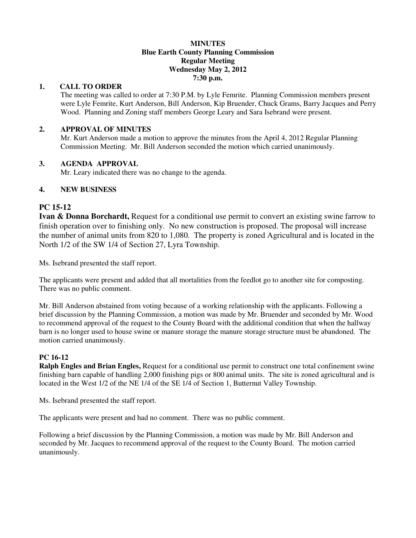#### **MINUTES Blue Earth County Planning Commission Regular Meeting Wednesday May 2, 2012 7:30 p.m.**

#### **1. CALL TO ORDER**

The meeting was called to order at 7:30 P.M. by Lyle Femrite. Planning Commission members present were Lyle Femrite, Kurt Anderson, Bill Anderson, Kip Bruender, Chuck Grams, Barry Jacques and Perry Wood. Planning and Zoning staff members George Leary and Sara Isebrand were present.

## **2. APPROVAL OF MINUTES**

Mr. Kurt Anderson made a motion to approve the minutes from the April 4, 2012 Regular Planning Commission Meeting. Mr. Bill Anderson seconded the motion which carried unanimously.

## **3. AGENDA APPROVAL**

Mr. Leary indicated there was no change to the agenda.

## **4. NEW BUSINESS**

## **PC 15-12**

**Ivan & Donna Borchardt,** Request for a conditional use permit to convert an existing swine farrow to finish operation over to finishing only. No new construction is proposed. The proposal will increase the number of animal units from 820 to 1,080. The property is zoned Agricultural and is located in the North 1/2 of the SW 1/4 of Section 27, Lyra Township.

Ms. Isebrand presented the staff report.

The applicants were present and added that all mortalities from the feedlot go to another site for composting. There was no public comment.

Mr. Bill Anderson abstained from voting because of a working relationship with the applicants. Following a brief discussion by the Planning Commission, a motion was made by Mr. Bruender and seconded by Mr. Wood to recommend approval of the request to the County Board with the additional condition that when the hallway barn is no longer used to house swine or manure storage the manure storage structure must be abandoned. The motion carried unanimously.

## **PC 16-12**

**Ralph Engles and Brian Engles,** Request for a conditional use permit to construct one total confinement swine finishing barn capable of handling 2,000 finishing pigs or 800 animal units. The site is zoned agricultural and is located in the West 1/2 of the NE 1/4 of the SE 1/4 of Section 1, Butternut Valley Township.

Ms. Isebrand presented the staff report.

The applicants were present and had no comment. There was no public comment.

Following a brief discussion by the Planning Commission, a motion was made by Mr. Bill Anderson and seconded by Mr. Jacques to recommend approval of the request to the County Board. The motion carried unanimously.